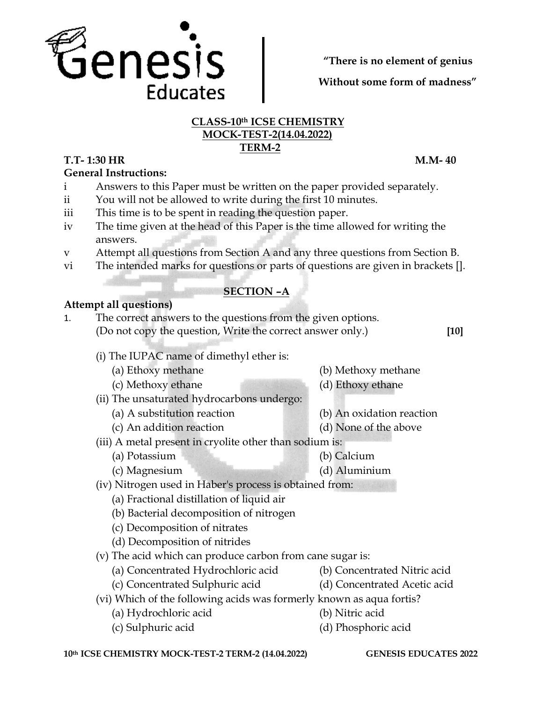

**"There is no element of genius**

**Without some form of madness"**

#### **CLASS-10th ICSE CHEMISTRY MOCK-TEST-2(14.04.2022) TERM-2**

### **T.T- 1:30 HR M.M- 40**

**General Instructions:** 

- i Answers to this Paper must be written on the paper provided separately.
- ii You will not be allowed to write during the first 10 minutes.
- iii This time is to be spent in reading the question paper.
- iv The time given at the head of this Paper is the time allowed for writing the answers.
- v Attempt all questions from Section A and any three questions from Section B.
- vi The intended marks for questions or parts of questions are given in brackets [].

## **SECTION –A**

#### **Attempt all questions)**

1. The correct answers to the questions from the given options. (Do not copy the question, Write the correct answer only.) **[10]**

- (i) The IUPAC name of dimethyl ether is:
	- (a) Ethoxy methane (b) Methoxy methane
	- (c) Methoxy ethane (d) Ethoxy ethane
- (ii) The unsaturated hydrocarbons undergo:
	- (a) A substitution reaction (b) An oxidation reaction
		-
	- (c) An addition reaction (d) None of the above
- (iii) A metal present in cryolite other than sodium is:
	- (a) Potassium (b) Calcium
	- (c) Magnesium (d) Aluminium
- (iv) Nitrogen used in Haber's process is obtained from:
	- (a) Fractional distillation of liquid air
	- (b) Bacterial decomposition of nitrogen
	- (c) Decomposition of nitrates
	- (d) Decomposition of nitrides
- (v) The acid which can produce carbon from cane sugar is:
	- (a) Concentrated Hydrochloric acid (b) Concentrated Nitric acid
	- (c) Concentrated Sulphuric acid (d) Concentrated Acetic acid
- 
- (vi) Which of the following acids was formerly known as aqua fortis?
	- (a) Hydrochloric acid (b) Nitric acid
	- (c) Sulphuric acid (d) Phosphoric acid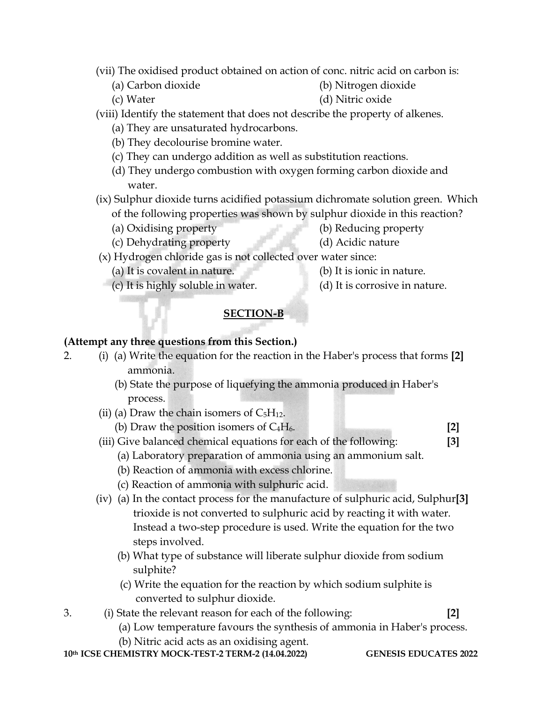- (vii) The oxidised product obtained on action of conc. nitric acid on carbon is:
	- (a) Carbon dioxide (b) Nitrogen dioxide

(c) Water (d) Nitric oxide

- (viii) Identify the statement that does not describe the property of alkenes.
	- (a) They are unsaturated hydrocarbons.
	- (b) They decolourise bromine water.
	- (c) They can undergo addition as well as substitution reactions.
	- (d) They undergo combustion with oxygen forming carbon dioxide and water.
- (ix) Sulphur dioxide turns acidified potassium dichromate solution green. Which of the following properties was shown by sulphur dioxide in this reaction?
	- (a) Oxidising property (b) Reducing property
		-
	- (c) Dehydrating property (d) Acidic nature
- (x) Hydrogen chloride gas is not collected over water since:
	- (a) It is covalent in nature. (b) It is ionic in nature.
- - (c) It is highly soluble in water. (d) It is corrosive in nature.
- 

# **SECTION-B**

## **(Attempt any three questions from this Section.)**

- 2. (i) (a) Write the equation for the reaction in the Haber's process that forms **[2]** ammonia.
	- (b) State the purpose of liquefying the ammonia produced in Haber's process.
	- (ii) (a) Draw the chain isomers of  $C_5H_{12}$ .
		- (b) Draw the position isomers of C4H6. **[2]**
	- (iii) Give balanced chemical equations for each of the following: **[3]**
		- (a) Laboratory preparation of ammonia using an ammonium salt.
		- (b) Reaction of ammonia with excess chlorine.
		- (c) Reaction of ammonia with sulphuric acid.
	- (iv) (a) In the contact process for the manufacture of sulphuric acid, Sulphur**[3]** trioxide is not converted to sulphuric acid by reacting it with water. Instead a two-step procedure is used. Write the equation for the two steps involved.
		- (b) What type of substance will liberate sulphur dioxide from sodium sulphite?
		- (c) Write the equation for the reaction by which sodium sulphite is converted to sulphur dioxide.
- 3. (i) State the relevant reason for each of the following: **[2]**
	-
	- (a) Low temperature favours the synthesis of ammonia in Haber's process.
	- (b) Nitric acid acts as an oxidising agent.

**10th ICSE CHEMISTRY MOCK-TEST-2 TERM-2 (14.04.2022) GENESIS EDUCATES 2022**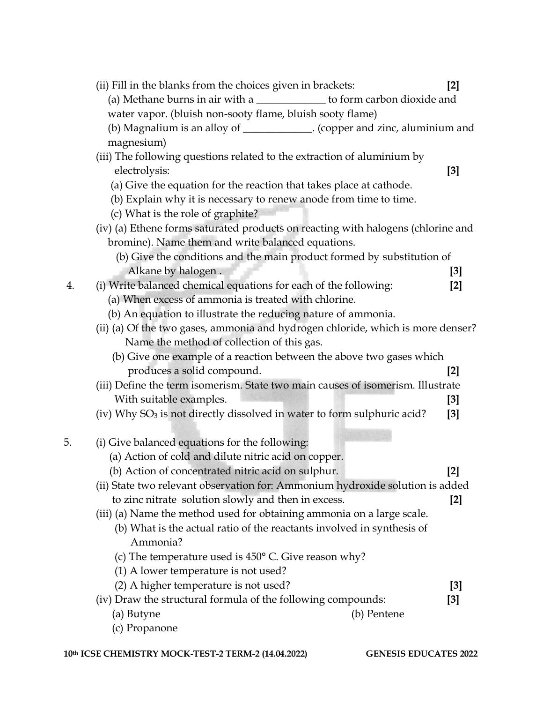|    | (ii) Fill in the blanks from the choices given in brackets:                               | $[2]$ |  |  |  |  |
|----|-------------------------------------------------------------------------------------------|-------|--|--|--|--|
|    | (a) Methane burns in air with a ______________ to form carbon dioxide and                 |       |  |  |  |  |
|    | water vapor. (bluish non-sooty flame, bluish sooty flame)                                 |       |  |  |  |  |
|    | (b) Magnalium is an alloy of _____________. (copper and zinc, aluminium and<br>magnesium) |       |  |  |  |  |
|    |                                                                                           |       |  |  |  |  |
|    | (iii) The following questions related to the extraction of aluminium by<br>electrolysis:  | [3]   |  |  |  |  |
|    | (a) Give the equation for the reaction that takes place at cathode.                       |       |  |  |  |  |
|    | (b) Explain why it is necessary to renew anode from time to time.                         |       |  |  |  |  |
|    | (c) What is the role of graphite?                                                         |       |  |  |  |  |
|    | (iv) (a) Ethene forms saturated products on reacting with halogens (chlorine and          |       |  |  |  |  |
|    | bromine). Name them and write balanced equations.                                         |       |  |  |  |  |
|    | (b) Give the conditions and the main product formed by substitution of                    |       |  |  |  |  |
|    | Alkane by halogen.                                                                        | [3]   |  |  |  |  |
| 4. | (i) Write balanced chemical equations for each of the following:                          | $[2]$ |  |  |  |  |
|    | (a) When excess of ammonia is treated with chlorine.                                      |       |  |  |  |  |
|    | (b) An equation to illustrate the reducing nature of ammonia.                             |       |  |  |  |  |
|    | (ii) (a) Of the two gases, ammonia and hydrogen chloride, which is more denser?           |       |  |  |  |  |
|    | Name the method of collection of this gas.                                                |       |  |  |  |  |
|    | (b) Give one example of a reaction between the above two gases which                      |       |  |  |  |  |
|    | produces a solid compound.                                                                | $[2]$ |  |  |  |  |
|    | (iii) Define the term isomerism. State two main causes of isomerism. Illustrate           |       |  |  |  |  |
|    | With suitable examples.                                                                   | $[3]$ |  |  |  |  |
|    | (iv) Why SO <sub>3</sub> is not directly dissolved in water to form sulphuric acid?       | $[3]$ |  |  |  |  |
| 5. | (i) Give balanced equations for the following:                                            |       |  |  |  |  |
|    | (a) Action of cold and dilute nitric acid on copper.                                      |       |  |  |  |  |
|    | (b) Action of concentrated nitric acid on sulphur.                                        | [2]   |  |  |  |  |
|    | (ii) State two relevant observation for: Ammonium hydroxide solution is added             |       |  |  |  |  |
|    | to zinc nitrate solution slowly and then in excess.                                       | $[2]$ |  |  |  |  |
|    | (iii) (a) Name the method used for obtaining ammonia on a large scale.                    |       |  |  |  |  |
|    | (b) What is the actual ratio of the reactants involved in synthesis of                    |       |  |  |  |  |
|    | Ammonia?                                                                                  |       |  |  |  |  |
|    | (c) The temperature used is $450^{\circ}$ C. Give reason why?                             |       |  |  |  |  |
|    | (1) A lower temperature is not used?                                                      |       |  |  |  |  |
|    | (2) A higher temperature is not used?                                                     | [3]   |  |  |  |  |
|    | (iv) Draw the structural formula of the following compounds:                              | $[3]$ |  |  |  |  |
|    | (a) Butyne<br>(b) Pentene                                                                 |       |  |  |  |  |
|    | (c) Propanone                                                                             |       |  |  |  |  |
|    |                                                                                           |       |  |  |  |  |